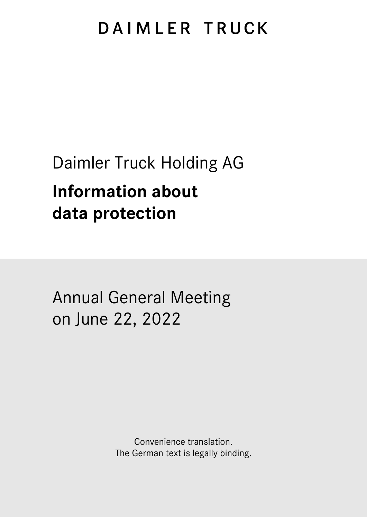# DAIMLER TRUCK

# Daimler Truck Holding AG

# **Information about data protection**

Annual General Meeting on June 22, 2022

> Convenience translation. The German text is legally binding.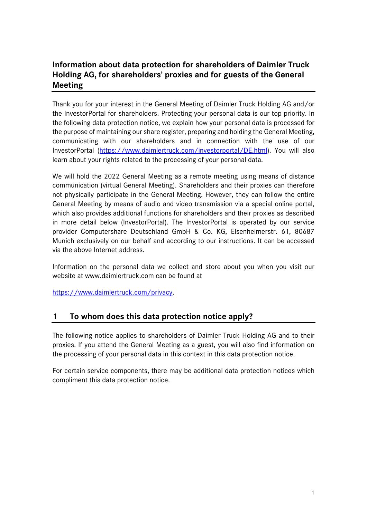# **Information about data protection for shareholders of Daimler Truck Holding AG, for shareholders' proxies and for guests of the General Meeting**

Thank you for your interest in the General Meeting of Daimler Truck Holding AG and/or the InvestorPortal for shareholders. Protecting your personal data is our top priority. In the following data protection notice, we explain how your personal data is processed for the purpose of maintaining our share register, preparing and holding the General Meeting, communicating with our shareholders and in connection with the use of our InvestorPortal [\(https://www.daimlertruck.com/investorportal/DE.html\)](https://www.daimlertruck.com/investorportal/DE.html). You will also learn about your rights related to the processing of your personal data.

We will hold the 2022 General Meeting as a remote meeting using means of distance communication (virtual General Meeting). Shareholders and their proxies can therefore not physically participate in the General Meeting. However, they can follow the entire General Meeting by means of audio and video transmission via a special online portal, which also provides additional functions for shareholders and their proxies as described in more detail below (InvestorPortal). The InvestorPortal is operated by our service provider Computershare Deutschland GmbH & Co. KG, Elsenheimerstr. 61, 80687 Munich exclusively on our behalf and according to our instructions. It can be accessed via the above Internet address.

Information on the personal data we collect and store about you when you visit our website at www.daimlertruck.com can be found at

[https://www.daimlertruck.com/privacy.](https://www.daimlertruck.com/privacy)

#### **1 To whom does this data protection notice apply?**

The following notice applies to shareholders of Daimler Truck Holding AG and to their proxies. If you attend the General Meeting as a guest, you will also find information on the processing of your personal data in this context in this data protection notice.

For certain service components, there may be additional data protection notices which compliment this data protection notice.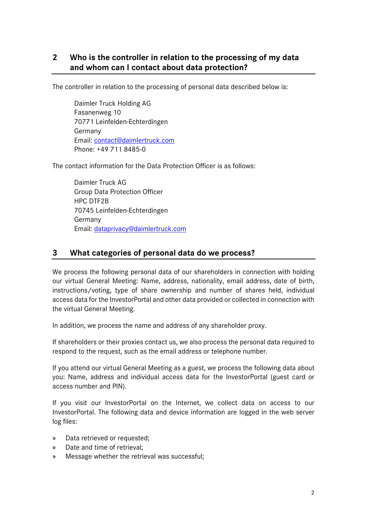# **2 Who is the controller in relation to the processing of my data and whom can I contact about data protection?**

The controller in relation to the processing of personal data described below is:

Daimler Truck Holding AG Fasanenweg 10 70771 Leinfelden-Echterdingen Germany Email: [contact@daimlertruck.com](mailto:dialog@daimler.com) Phone: +49 711 8485-0

The contact information for the Data Protection Officer is as follows:

Daimler Truck AG Group Data Protection Officer HPC DTF2B 70745 Leinfelden-Echterdingen Germany Email: [dataprivacy@daimlertruck.com](mailto:dataprivacy@daimlertruck.com)

# **3 What categories of personal data do we process?**

We process the following personal data of our shareholders in connection with holding our virtual General Meeting: Name, address, nationality, email address, date of birth, instructions/voting, type of share ownership and number of shares held, individual access data for the InvestorPortal and other data provided or collected in connection with the virtual General Meeting.

In addition, we process the name and address of any shareholder proxy.

If shareholders or their proxies contact us, we also process the personal data required to respond to the request, such as the email address or telephone number.

If you attend our virtual General Meeting as a guest, we process the following data about you: Name, address and individual access data for the InvestorPortal (guest card or access number and PIN).

If you visit our InvestorPortal on the Internet, we collect data on access to our InvestorPortal. The following data and device information are logged in the web server log files:

- » Data retrieved or requested;
- » Date and time of retrieval;
- » Message whether the retrieval was successful;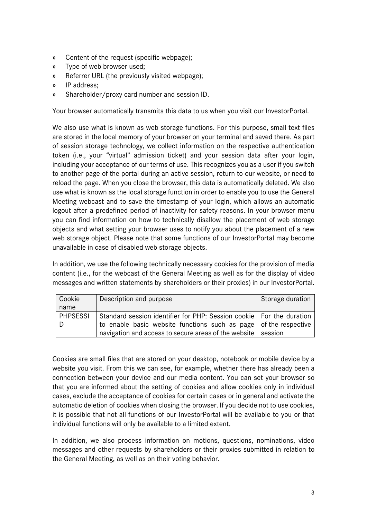- » Content of the request (specific webpage);
- » Type of web browser used;
- » Referrer URL (the previously visited webpage);
- » IP address;
- » Shareholder/proxy card number and session ID.

Your browser automatically transmits this data to us when you visit our InvestorPortal.

We also use what is known as web storage functions. For this purpose, small text files are stored in the local memory of your browser on your terminal and saved there. As part of session storage technology, we collect information on the respective authentication token (i.e., your "virtual" admission ticket) and your session data after your login, including your acceptance of our terms of use. This recognizes you as a user if you switch to another page of the portal during an active session, return to our website, or need to reload the page. When you close the browser, this data is automatically deleted. We also use what is known as the local storage function in order to enable you to use the General Meeting webcast and to save the timestamp of your login, which allows an automatic logout after a predefined period of inactivity for safety reasons. In your browser menu you can find information on how to technically disallow the placement of web storage objects and what setting your browser uses to notify you about the placement of a new web storage object. Please note that some functions of our InvestorPortal may become unavailable in case of disabled web storage objects.

In addition, we use the following technically necessary cookies for the provision of media content (i.e., for the webcast of the General Meeting as well as for the display of video messages and written statements by shareholders or their proxies) in our InvestorPortal.

| Cookie          | Description and purpose                                                  | Storage duration |
|-----------------|--------------------------------------------------------------------------|------------------|
| name            |                                                                          |                  |
| <b>PHPSESSI</b> | Standard session identifier for PHP: Session cookie   For the duration   |                  |
|                 | to enable basic website functions such as page $\vert$ of the respective |                  |
|                 | navigation and access to secure areas of the website   session           |                  |

Cookies are small files that are stored on your desktop, notebook or mobile device by a website you visit. From this we can see, for example, whether there has already been a connection between your device and our media content. You can set your browser so that you are informed about the setting of cookies and allow cookies only in individual cases, exclude the acceptance of cookies for certain cases or in general and activate the automatic deletion of cookies when closing the browser. If you decide not to use cookies, it is possible that not all functions of our InvestorPortal will be available to you or that individual functions will only be available to a limited extent.

In addition, we also process information on motions, questions, nominations, video messages and other requests by shareholders or their proxies submitted in relation to the General Meeting, as well as on their voting behavior.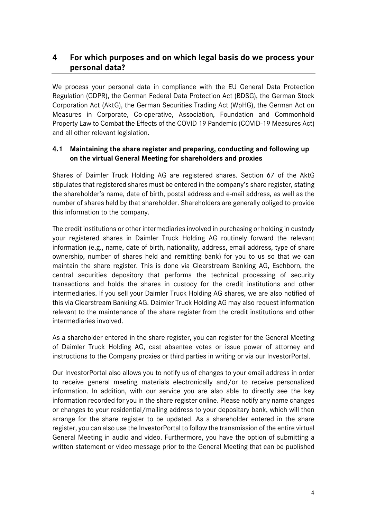# **4 For which purposes and on which legal basis do we process your personal data?**

We process your personal data in compliance with the EU General Data Protection Regulation (GDPR), the German Federal Data Protection Act (BDSG), the German Stock Corporation Act (AktG), the German Securities Trading Act (WpHG), the German Act on Measures in Corporate, Co-operative, Association, Foundation and Commonhold Property Law to Combat the Effects of the COVID 19 Pandemic (COVID-19 Measures Act) and all other relevant legislation.

#### **4.1 Maintaining the share register and preparing, conducting and following up on the virtual General Meeting for shareholders and proxies**

Shares of Daimler Truck Holding AG are registered shares. Section 67 of the AktG stipulates that registered shares must be entered in the company's share register, stating the shareholder's name, date of birth, postal address and e-mail address, as well as the number of shares held by that shareholder. Shareholders are generally obliged to provide this information to the company.

The credit institutions or other intermediaries involved in purchasing or holding in custody your registered shares in Daimler Truck Holding AG routinely forward the relevant information (e.g., name, date of birth, nationality, address, email address, type of share ownership, number of shares held and remitting bank) for you to us so that we can maintain the share register. This is done via Clearstream Banking AG, Eschborn, the central securities depository that performs the technical processing of security transactions and holds the shares in custody for the credit institutions and other intermediaries. If you sell your Daimler Truck Holding AG shares, we are also notified of this via Clearstream Banking AG. Daimler Truck Holding AG may also request information relevant to the maintenance of the share register from the credit institutions and other intermediaries involved.

As a shareholder entered in the share register, you can register for the General Meeting of Daimler Truck Holding AG, cast absentee votes or issue power of attorney and instructions to the Company proxies or third parties in writing or via our InvestorPortal.

Our InvestorPortal also allows you to notify us of changes to your email address in order to receive general meeting materials electronically and/or to receive personalized information. In addition, with our service you are also able to directly see the key information recorded for you in the share register online. Please notify any name changes or changes to your residential/mailing address to your depositary bank, which will then arrange for the share register to be updated. As a shareholder entered in the share register, you can also use the InvestorPortal to follow the transmission of the entire virtual General Meeting in audio and video. Furthermore, you have the option of submitting a written statement or video message prior to the General Meeting that can be published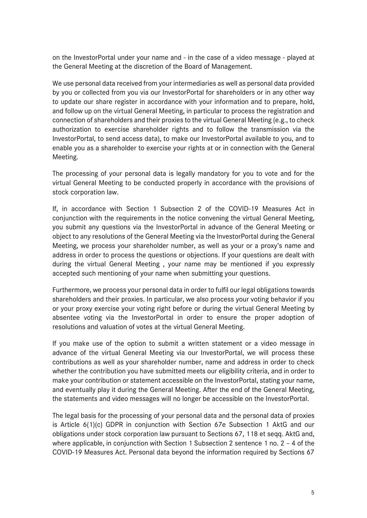on the InvestorPortal under your name and - in the case of a video message - played at the General Meeting at the discretion of the Board of Management.

We use personal data received from your intermediaries as well as personal data provided by you or collected from you via our InvestorPortal for shareholders or in any other way to update our share register in accordance with your information and to prepare, hold, and follow up on the virtual General Meeting, in particular to process the registration and connection of shareholders and their proxies to the virtual General Meeting (e.g., to check authorization to exercise shareholder rights and to follow the transmission via the InvestorPortal, to send access data), to make our InvestorPortal available to you, and to enable you as a shareholder to exercise your rights at or in connection with the General Meeting.

The processing of your personal data is legally mandatory for you to vote and for the virtual General Meeting to be conducted properly in accordance with the provisions of stock corporation law.

If, in accordance with Section 1 Subsection 2 of the COVID-19 Measures Act in conjunction with the requirements in the notice convening the virtual General Meeting, you submit any questions via the InvestorPortal in advance of the General Meeting or object to any resolutions of the General Meeting via the InvestorPortal during the General Meeting, we process your shareholder number, as well as your or a proxy's name and address in order to process the questions or objections. If your questions are dealt with during the virtual General Meeting , your name may be mentioned if you expressly accepted such mentioning of your name when submitting your questions.

Furthermore, we process your personal data in order to fulfil our legal obligations towards shareholders and their proxies. In particular, we also process your voting behavior if you or your proxy exercise your voting right before or during the virtual General Meeting by absentee voting via the InvestorPortal in order to ensure the proper adoption of resolutions and valuation of votes at the virtual General Meeting.

If you make use of the option to submit a written statement or a video message in advance of the virtual General Meeting via our InvestorPortal, we will process these contributions as well as your shareholder number, name and address in order to check whether the contribution you have submitted meets our eligibility criteria, and in order to make your contribution or statement accessible on the InvestorPortal, stating your name, and eventually play it during the General Meeting. After the end of the General Meeting, the statements and video messages will no longer be accessible on the InvestorPortal.

The legal basis for the processing of your personal data and the personal data of proxies is Article 6(1)(c) GDPR in conjunction with Section 67e Subsection 1 AktG and our obligations under stock corporation law pursuant to Sections 67, 118 et seqq. AktG and, where applicable, in conjunction with Section 1 Subsection 2 sentence 1 no. 2 – 4 of the COVID-19 Measures Act. Personal data beyond the information required by Sections 67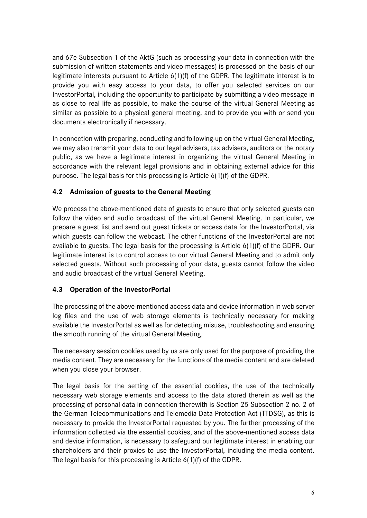and 67e Subsection 1 of the AktG (such as processing your data in connection with the submission of written statements and video messages) is processed on the basis of our legitimate interests pursuant to Article 6(1)(f) of the GDPR. The legitimate interest is to provide you with easy access to your data, to offer you selected services on our InvestorPortal, including the opportunity to participate by submitting a video message in as close to real life as possible, to make the course of the virtual General Meeting as similar as possible to a physical general meeting, and to provide you with or send you documents electronically if necessary.

In connection with preparing, conducting and following-up on the virtual General Meeting, we may also transmit your data to our legal advisers, tax advisers, auditors or the notary public, as we have a legitimate interest in organizing the virtual General Meeting in accordance with the relevant legal provisions and in obtaining external advice for this purpose. The legal basis for this processing is Article 6(1)(f) of the GDPR.

# **4.2 Admission of guests to the General Meeting**

We process the above-mentioned data of guests to ensure that only selected guests can follow the video and audio broadcast of the virtual General Meeting. In particular, we prepare a guest list and send out guest tickets or access data for the InvestorPortal, via which guests can follow the webcast. The other functions of the InvestorPortal are not available to guests. The legal basis for the processing is Article 6(1)(f) of the GDPR. Our legitimate interest is to control access to our virtual General Meeting and to admit only selected guests. Without such processing of your data, guests cannot follow the video and audio broadcast of the virtual General Meeting.

#### **4.3 Operation of the InvestorPortal**

The processing of the above-mentioned access data and device information in web server log files and the use of web storage elements is technically necessary for making available the InvestorPortal as well as for detecting misuse, troubleshooting and ensuring the smooth running of the virtual General Meeting.

The necessary session cookies used by us are only used for the purpose of providing the media content. They are necessary for the functions of the media content and are deleted when you close your browser.

The legal basis for the setting of the essential cookies, the use of the technically necessary web storage elements and access to the data stored therein as well as the processing of personal data in connection therewith is Section 25 Subsection 2 no. 2 of the German Telecommunications and Telemedia Data Protection Act (TTDSG), as this is necessary to provide the InvestorPortal requested by you. The further processing of the information collected via the essential cookies, and of the above-mentioned access data and device information, is necessary to safeguard our legitimate interest in enabling our shareholders and their proxies to use the InvestorPortal, including the media content. The legal basis for this processing is Article 6(1)(f) of the GDPR.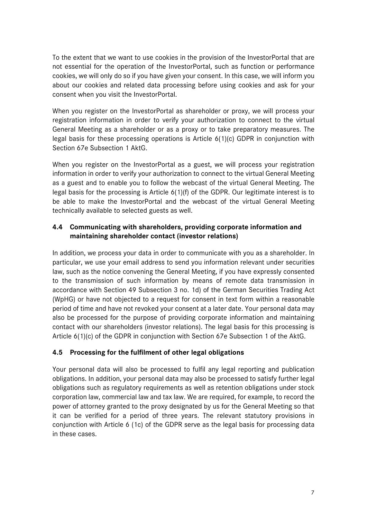To the extent that we want to use cookies in the provision of the InvestorPortal that are not essential for the operation of the InvestorPortal, such as function or performance cookies, we will only do so if you have given your consent. In this case, we will inform you about our cookies and related data processing before using cookies and ask for your consent when you visit the InvestorPortal.

When you register on the InvestorPortal as shareholder or proxy, we will process your registration information in order to verify your authorization to connect to the virtual General Meeting as a shareholder or as a proxy or to take preparatory measures. The legal basis for these processing operations is Article 6(1)(c) GDPR in conjunction with Section 67e Subsection 1 AktG.

When you register on the InvestorPortal as a guest, we will process your registration information in order to verify your authorization to connect to the virtual General Meeting as a guest and to enable you to follow the webcast of the virtual General Meeting. The legal basis for the processing is Article 6(1)(f) of the GDPR. Our legitimate interest is to be able to make the InvestorPortal and the webcast of the virtual General Meeting technically available to selected guests as well.

#### **4.4 Communicating with shareholders, providing corporate information and maintaining shareholder contact (investor relations)**

In addition, we process your data in order to communicate with you as a shareholder. In particular, we use your email address to send you information relevant under securities law, such as the notice convening the General Meeting, if you have expressly consented to the transmission of such information by means of remote data transmission in accordance with Section 49 Subsection 3 no. 1d) of the German Securities Trading Act (WpHG) or have not objected to a request for consent in text form within a reasonable period of time and have not revoked your consent at a later date. Your personal data may also be processed for the purpose of providing corporate information and maintaining contact with our shareholders (investor relations). The legal basis for this processing is Article 6(1)(c) of the GDPR in conjunction with Section 67e Subsection 1 of the AktG.

#### **4.5 Processing for the fulfilment of other legal obligations**

Your personal data will also be processed to fulfil any legal reporting and publication obligations. In addition, your personal data may also be processed to satisfy further legal obligations such as regulatory requirements as well as retention obligations under stock corporation law, commercial law and tax law. We are required, for example, to record the power of attorney granted to the proxy designated by us for the General Meeting so that it can be verified for a period of three years. The relevant statutory provisions in conjunction with Article 6 (1c) of the GDPR serve as the legal basis for processing data in these cases.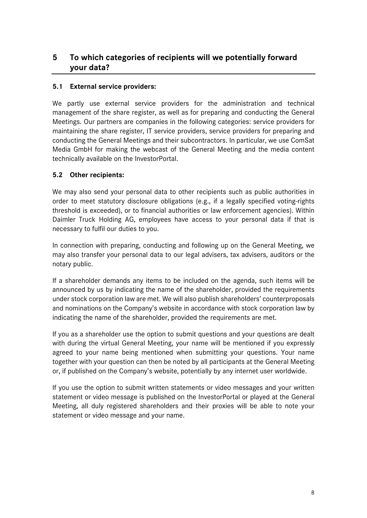# **5 To which categories of recipients will we potentially forward your data?**

#### **5.1 External service providers:**

We partly use external service providers for the administration and technical management of the share register, as well as for preparing and conducting the General Meetings. Our partners are companies in the following categories: service providers for maintaining the share register, IT service providers, service providers for preparing and conducting the General Meetings and their subcontractors. In particular, we use ComSat Media GmbH for making the webcast of the General Meeting and the media content technically available on the InvestorPortal.

#### **5.2 Other recipients:**

We may also send your personal data to other recipients such as public authorities in order to meet statutory disclosure obligations (e.g., if a legally specified voting-rights threshold is exceeded), or to financial authorities or law enforcement agencies). Within Daimler Truck Holding AG, employees have access to your personal data if that is necessary to fulfil our duties to you.

In connection with preparing, conducting and following up on the General Meeting, we may also transfer your personal data to our legal advisers, tax advisers, auditors or the notary public.

If a shareholder demands any items to be included on the agenda, such items will be announced by us by indicating the name of the shareholder, provided the requirements under stock corporation law are met. We will also publish shareholders' counterproposals and nominations on the Company's website in accordance with stock corporation law by indicating the name of the shareholder, provided the requirements are met.

If you as a shareholder use the option to submit questions and your questions are dealt with during the virtual General Meeting, your name will be mentioned if you expressly agreed to your name being mentioned when submitting your questions. Your name together with your question can then be noted by all participants at the General Meeting or, if published on the Company's website, potentially by any internet user worldwide.

If you use the option to submit written statements or video messages and your written statement or video message is published on the InvestorPortal or played at the General Meeting, all duly registered shareholders and their proxies will be able to note your statement or video message and your name.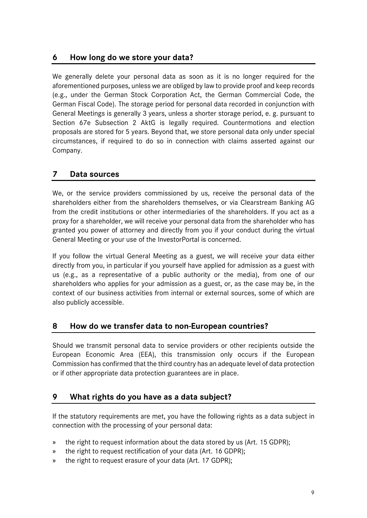# **6 How long do we store your data?**

We generally delete your personal data as soon as it is no longer required for the aforementioned purposes, unless we are obliged by law to provide proof and keep records (e.g., under the German Stock Corporation Act, the German Commercial Code, the German Fiscal Code). The storage period for personal data recorded in conjunction with General Meetings is generally 3 years, unless a shorter storage period, e. g. pursuant to Section 67e Subsection 2 AktG is legally required. Countermotions and election proposals are stored for 5 years. Beyond that, we store personal data only under special circumstances, if required to do so in connection with claims asserted against our Company.

# **7 Data sources**

We, or the service providers commissioned by us, receive the personal data of the shareholders either from the shareholders themselves, or via Clearstream Banking AG from the credit institutions or other intermediaries of the shareholders. If you act as a proxy for a shareholder, we will receive your personal data from the shareholder who has granted you power of attorney and directly from you if your conduct during the virtual General Meeting or your use of the InvestorPortal is concerned.

If you follow the virtual General Meeting as a guest, we will receive your data either directly from you, in particular if you yourself have applied for admission as a guest with us (e.g., as a representative of a public authority or the media), from one of our shareholders who applies for your admission as a guest, or, as the case may be, in the context of our business activities from internal or external sources, some of which are also publicly accessible.

#### **8 How do we transfer data to non-European countries?**

Should we transmit personal data to service providers or other recipients outside the European Economic Area (EEA), this transmission only occurs if the European Commission has confirmed that the third country has an adequate level of data protection or if other appropriate data protection guarantees are in place.

# **9 What rights do you have as a data subject?**

If the statutory requirements are met, you have the following rights as a data subject in connection with the processing of your personal data:

- » the right to request information about the data stored by us (Art. 15 GDPR);
- » the right to request rectification of your data (Art. 16 GDPR);
- » the right to request erasure of your data (Art. 17 GDPR);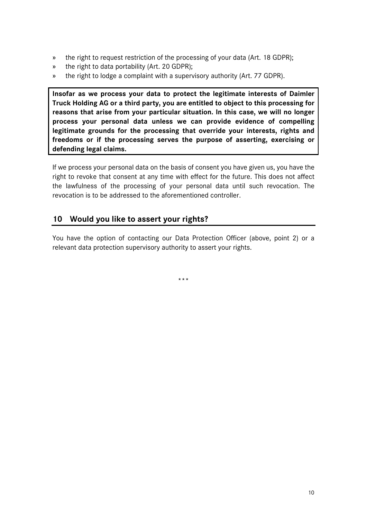- » the right to request restriction of the processing of your data (Art. 18 GDPR);
- » the right to data portability (Art. 20 GDPR);
- » the right to lodge a complaint with a supervisory authority (Art. 77 GDPR).

**Insofar as we process your data to protect the legitimate interests of Daimler Truck Holding AG or a third party, you are entitled to object to this processing for reasons that arise from your particular situation. In this case, we will no longer process your personal data unless we can provide evidence of compelling legitimate grounds for the processing that override your interests, rights and freedoms or if the processing serves the purpose of asserting, exercising or defending legal claims.**

If we process your personal data on the basis of consent you have given us, you have the right to revoke that consent at any time with effect for the future. This does not affect the lawfulness of the processing of your personal data until such revocation. The revocation is to be addressed to the aforementioned controller.

# **10 Would you like to assert your rights?**

You have the option of contacting our Data Protection Officer (above, point 2) or a relevant data protection supervisory authority to assert your rights.

\*\*\*